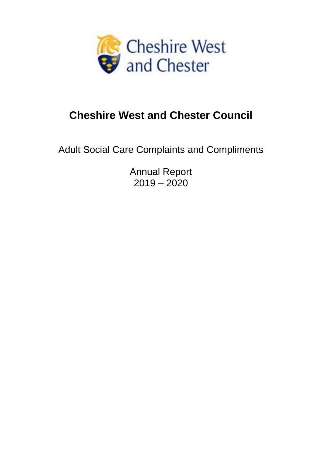

# **Cheshire West and Chester Council**

Adult Social Care Complaints and Compliments

Annual Report  $2019 - 2020$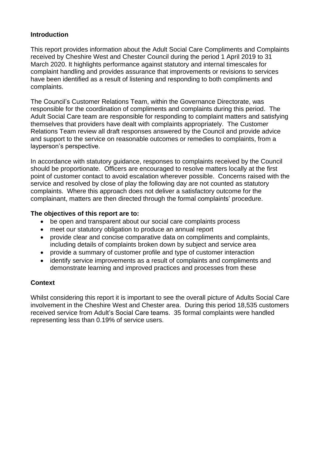## **Introduction**

This report provides information about the Adult Social Care Compliments and Complaints received by Cheshire West and Chester Council during the period 1 April 2019 to 31 March 2020. It highlights performance against statutory and internal timescales for complaint handling and provides assurance that improvements or revisions to services have been identified as a result of listening and responding to both compliments and complaints.

The Council's Customer Relations Team, within the Governance Directorate, was responsible for the coordination of compliments and complaints during this period. The Adult Social Care team are responsible for responding to complaint matters and satisfying themselves that providers have dealt with complaints appropriately. The Customer Relations Team review all draft responses answered by the Council and provide advice and support to the service on reasonable outcomes or remedies to complaints, from a layperson's perspective.

In accordance with statutory guidance, responses to complaints received by the Council should be proportionate. Officers are encouraged to resolve matters locally at the first point of customer contact to avoid escalation wherever possible. Concerns raised with the service and resolved by close of play the following day are not counted as statutory complaints. Where this approach does not deliver a satisfactory outcome for the complainant, matters are then directed through the formal complaints' procedure.

## **The objectives of this report are to:**

- be open and transparent about our social care complaints process
- meet our statutory obligation to produce an annual report
- provide clear and concise comparative data on compliments and complaints, including details of complaints broken down by subject and service area
- provide a summary of customer profile and type of customer interaction
- identify service improvements as a result of complaints and compliments and demonstrate learning and improved practices and processes from these

# **Context**

Whilst considering this report it is important to see the overall picture of Adults Social Care involvement in the Cheshire West and Chester area. During this period 18,535 customers received service from Adult's Social Care teams. 35 formal complaints were handled representing less than 0.19% of service users.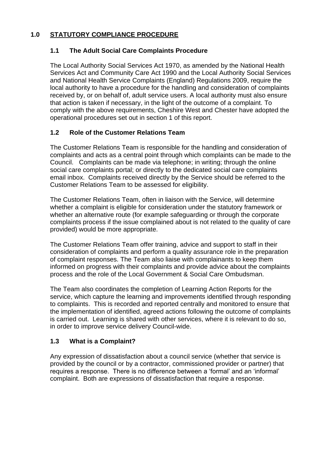# **1.0 STATUTORY COMPLIANCE PROCEDURE**

# **1.1 The Adult Social Care Complaints Procedure**

The Local Authority Social Services Act 1970, as amended by the National Health Services Act and Community Care Act 1990 and the Local Authority Social Services and National Health Service Complaints (England) Regulations 2009, require the local authority to have a procedure for the handling and consideration of complaints received by, or on behalf of, adult service users. A local authority must also ensure that action is taken if necessary, in the light of the outcome of a complaint. To comply with the above requirements, Cheshire West and Chester have adopted the operational procedures set out in section 1 of this report.

# **1.2 Role of the Customer Relations Team**

The Customer Relations Team is responsible for the handling and consideration of complaints and acts as a central point through which complaints can be made to the Council. Complaints can be made via telephone; in writing; through the online social care complaints portal; or directly to the dedicated social care complaints email inbox. Complaints received directly by the Service should be referred to the Customer Relations Team to be assessed for eligibility.

The Customer Relations Team, often in liaison with the Service, will determine whether a complaint is eligible for consideration under the statutory framework or whether an alternative route (for example safeguarding or through the corporate complaints process if the issue complained about is not related to the quality of care provided) would be more appropriate.

The Customer Relations Team offer training, advice and support to staff in their consideration of complaints and perform a quality assurance role in the preparation of complaint responses. The Team also liaise with complainants to keep them informed on progress with their complaints and provide advice about the complaints process and the role of the Local Government & Social Care Ombudsman.

The Team also coordinates the completion of Learning Action Reports for the service, which capture the learning and improvements identified through responding to complaints. This is recorded and reported centrally and monitored to ensure that the implementation of identified, agreed actions following the outcome of complaints is carried out. Learning is shared with other services, where it is relevant to do so, in order to improve service delivery Council-wide.

# **1.3 What is a Complaint?**

Any expression of dissatisfaction about a council service (whether that service is provided by the council or by a contractor, commissioned provider or partner) that requires a response. There is no difference between a 'formal' and an 'informal' complaint. Both are expressions of dissatisfaction that require a response.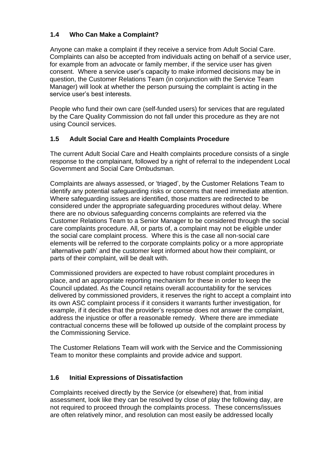# **1.4 Who Can Make a Complaint?**

Anyone can make a complaint if they receive a service from Adult Social Care. Complaints can also be accepted from individuals acting on behalf of a service user, for example from an advocate or family member, if the service user has given consent. Where a service user's capacity to make informed decisions may be in question, the Customer Relations Team (in conjunction with the Service Team Manager) will look at whether the person pursuing the complaint is acting in the service user's best interests.

People who fund their own care (self-funded users) for services that are regulated by the Care Quality Commission do not fall under this procedure as they are not using Council services.

# **1.5 Adult Social Care and Health Complaints Procedure**

The current Adult Social Care and Health complaints procedure consists of a single response to the complainant, followed by a right of referral to the independent Local Government and Social Care Ombudsman.

Complaints are always assessed, or 'triaged', by the Customer Relations Team to identify any potential safeguarding risks or concerns that need immediate attention. Where safeguarding issues are identified, those matters are redirected to be considered under the appropriate safeguarding procedures without delay. Where there are no obvious safeguarding concerns complaints are referred via the Customer Relations Team to a Senior Manager to be considered through the social care complaints procedure. All, or parts of, a complaint may not be eligible under the social care complaint process. Where this is the case all non-social care elements will be referred to the corporate complaints policy or a more appropriate 'alternative path' and the customer kept informed about how their complaint, or parts of their complaint, will be dealt with.

Commissioned providers are expected to have robust complaint procedures in place, and an appropriate reporting mechanism for these in order to keep the Council updated. As the Council retains overall accountability for the services delivered by commissioned providers, it reserves the right to accept a complaint into its own ASC complaint process if it considers it warrants further investigation, for example, if it decides that the provider's response does not answer the complaint, address the injustice or offer a reasonable remedy. Where there are immediate contractual concerns these will be followed up outside of the complaint process by the Commissioning Service.

The Customer Relations Team will work with the Service and the Commissioning Team to monitor these complaints and provide advice and support.

# **1.6 Initial Expressions of Dissatisfaction**

Complaints received directly by the Service (or elsewhere) that, from initial assessment, look like they can be resolved by close of play the following day, are not required to proceed through the complaints process. These concerns/issues are often relatively minor, and resolution can most easily be addressed locally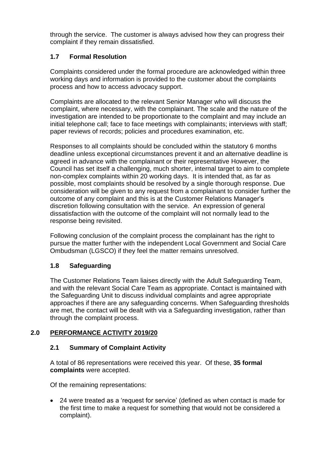through the service. The customer is always advised how they can progress their complaint if they remain dissatisfied.

# **1.7 Formal Resolution**

Complaints considered under the formal procedure are acknowledged within three working days and information is provided to the customer about the complaints process and how to access advocacy support.

Complaints are allocated to the relevant Senior Manager who will discuss the complaint, where necessary, with the complainant. The scale and the nature of the investigation are intended to be proportionate to the complaint and may include an initial telephone call; face to face meetings with complainants; interviews with staff; paper reviews of records; policies and procedures examination, etc.

Responses to all complaints should be concluded within the statutory 6 months deadline unless exceptional circumstances prevent it and an alternative deadline is agreed in advance with the complainant or their representative However, the Council has set itself a challenging, much shorter, internal target to aim to complete non-complex complaints within 20 working days. It is intended that, as far as possible, most complaints should be resolved by a single thorough response. Due consideration will be given to any request from a complainant to consider further the outcome of any complaint and this is at the Customer Relations Manager's discretion following consultation with the service. An expression of general dissatisfaction with the outcome of the complaint will not normally lead to the response being revisited.

Following conclusion of the complaint process the complainant has the right to pursue the matter further with the independent Local Government and Social Care Ombudsman (LGSCO) if they feel the matter remains unresolved.

# **1.8 Safeguarding**

The Customer Relations Team liaises directly with the Adult Safeguarding Team, and with the relevant Social Care Team as appropriate. Contact is maintained with the Safeguarding Unit to discuss individual complaints and agree appropriate approaches if there are any safeguarding concerns. When Safeguarding thresholds are met, the contact will be dealt with via a Safeguarding investigation, rather than through the complaint process.

# **2.0 PERFORMANCE ACTIVITY 2019/20**

# **2.1 Summary of Complaint Activity**

A total of 86 representations were received this year. Of these, **35 formal complaints** were accepted.

Of the remaining representations:

• 24 were treated as a 'request for service' (defined as when contact is made for the first time to make a request for something that would not be considered a complaint).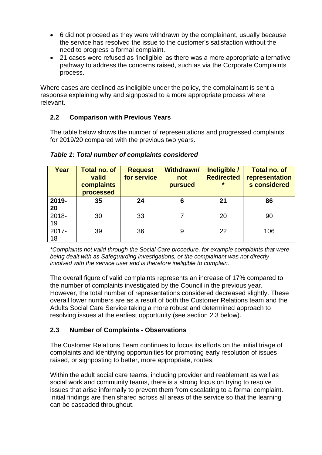- 6 did not proceed as they were withdrawn by the complainant, usually because the service has resolved the issue to the customer's satisfaction without the need to progress a formal complaint.
- 21 cases were refused as 'ineligible' as there was a more appropriate alternative pathway to address the concerns raised, such as via the Corporate Complaints process.

Where cases are declined as ineligible under the policy, the complainant is sent a response explaining why and signposted to a more appropriate process where relevant.

# **2.2 Comparison with Previous Years**

The table below shows the number of representations and progressed complaints for 2019/20 compared with the previous two years.

| Year        | <b>Total no. of</b><br>valid<br>complaints<br>processed | <b>Request</b><br>for service | <b>Withdrawn/</b><br>not<br>pursued | Ineligible /<br><b>Redirected</b><br>$\star$ | <b>Total no. of</b><br>representation<br>s considered |
|-------------|---------------------------------------------------------|-------------------------------|-------------------------------------|----------------------------------------------|-------------------------------------------------------|
| 2019-<br>20 | 35                                                      | 24                            | 6                                   | 21                                           | 86                                                    |
| 2018-<br>19 | 30                                                      | 33                            |                                     | 20                                           | 90                                                    |
| 2017-<br>18 | 39                                                      | 36                            | 9                                   | 22                                           | 106                                                   |

*Table 1: Total number of complaints considered*

*\*Complaints not valid through the Social Care procedure, for example complaints that were being dealt with as Safeguarding investigations, or the complainant was not directly involved with the service user and is therefore ineligible to complain.*

The overall figure of valid complaints represents an increase of 17% compared to the number of complaints investigated by the Council in the previous year. However, the total number of representations considered decreased slightly. These overall lower numbers are as a result of both the Customer Relations team and the Adults Social Care Service taking a more robust and determined approach to resolving issues at the earliest opportunity (see section 2.3 below).

# **2.3 Number of Complaints - Observations**

The Customer Relations Team continues to focus its efforts on the initial triage of complaints and identifying opportunities for promoting early resolution of issues raised, or signposting to better, more appropriate, routes.

Within the adult social care teams, including provider and reablement as well as social work and community teams, there is a strong focus on trying to resolve issues that arise informally to prevent them from escalating to a formal complaint. Initial findings are then shared across all areas of the service so that the learning can be cascaded throughout.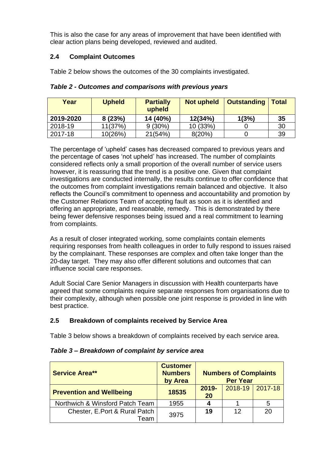This is also the case for any areas of improvement that have been identified with clear action plans being developed, reviewed and audited.

# **2.4 Complaint Outcomes**

Table 2 below shows the outcomes of the 30 complaints investigated.

| Year      | <b>Upheld</b> | <b>Partially</b><br>upheld | <b>Not upheld</b> | <b>Outstanding</b> | <b>Total</b> |
|-----------|---------------|----------------------------|-------------------|--------------------|--------------|
| 2019-2020 | 8(23%)        | 14 (40%)                   | 12(34%)           | 1(3%)              | 35           |
| 2018-19   | 11(37%)       | $9(30\%)$                  | 10 (33%)          |                    | 30           |
| 2017-18   | 10(26%)       | 21(54%)                    | 8(20%)            |                    | 39           |

*Table 2 - Outcomes and comparisons with previous years*

The percentage of 'upheld' cases has decreased compared to previous years and the percentage of cases 'not upheld' has increased. The number of complaints considered reflects only a small proportion of the overall number of service users however, it is reassuring that the trend is a positive one. Given that complaint investigations are conducted internally, the results continue to offer confidence that the outcomes from complaint investigations remain balanced and objective. It also reflects the Council's commitment to openness and accountability and promotion by the Customer Relations Team of accepting fault as soon as it is identified and offering an appropriate, and reasonable, remedy. This is demonstrated by there being fewer defensive responses being issued and a real commitment to learning from complaints.

As a result of closer integrated working, some complaints contain elements requiring responses from health colleagues in order to fully respond to issues raised by the complainant. These responses are complex and often take longer than the 20-day target. They may also offer different solutions and outcomes that can influence social care responses.

Adult Social Care Senior Managers in discussion with Health counterparts have agreed that some complaints require separate responses from organisations due to their complexity, although when possible one joint response is provided in line with best practice.

# **2.5 Breakdown of complaints received by Service Area**

Table 3 below shows a breakdown of complaints received by each service area.

| <b>Service Area**</b>                 | <b>Customer</b><br><b>Numbers</b><br>by Area | <b>Numbers of Complaints</b><br><b>Per Year</b> |                     |    |
|---------------------------------------|----------------------------------------------|-------------------------------------------------|---------------------|----|
| <b>Prevention and Wellbeing</b>       | 18535                                        | $2019 -$<br>20                                  | $2018-19$   2017-18 |    |
| Northwich & Winsford Patch Team       | 1955                                         | 4                                               |                     | 5  |
| Chester, E.Port & Rural Patch<br>Team | 3975                                         | 19                                              | 12                  | 20 |

# *Table 3 – Breakdown of complaint by service area*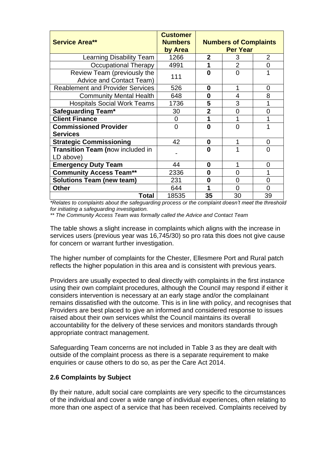| <b>Service Area**</b>                                          | <b>Customer</b><br><b>Numbers</b><br>by Area | <b>Numbers of Complaints</b><br><b>Per Year</b> |                |                |
|----------------------------------------------------------------|----------------------------------------------|-------------------------------------------------|----------------|----------------|
| Learning Disability Team                                       | 1266                                         | $\mathbf{2}$                                    | 3              | $\overline{2}$ |
| Occupational Therapy                                           | 4991                                         | 1                                               | $\overline{2}$ | 0              |
| Review Team (previously the<br><b>Advice and Contact Team)</b> | 111                                          | ŋ                                               | 0              |                |
| <b>Reablement and Provider Services</b>                        | 526                                          | 0                                               |                | 0              |
| <b>Community Mental Health</b>                                 | 648                                          | 0                                               | 4              | 8              |
| <b>Hospitals Social Work Teams</b>                             | 1736                                         | 5                                               | 3              |                |
| <b>Safeguarding Team*</b>                                      | 30                                           | $\overline{2}$                                  | $\Omega$       | 0              |
| <b>Client Finance</b>                                          | 0                                            | 1                                               |                |                |
| <b>Commissioned Provider</b>                                   | $\Omega$                                     | O                                               | $\Omega$       |                |
| <b>Services</b>                                                |                                              |                                                 |                |                |
| <b>Strategic Commissioning</b>                                 | 42                                           | $\bf{0}$                                        |                | 0              |
| <b>Transition Team (now included in</b><br>LD above)           |                                              | O                                               |                | 0              |
| <b>Emergency Duty Team</b>                                     | 44                                           | 0                                               |                | 0              |
| <b>Community Access Team**</b>                                 | 2336                                         | 0                                               | 0              |                |
| <b>Solutions Team (new team)</b>                               | 231                                          | 0                                               | 0              | 0              |
| <b>Other</b>                                                   | 644                                          | 1                                               | $\Omega$       | 0              |
| Total                                                          | 18535                                        | 35                                              | 30             | 39             |

*\*Relates to complaints about the safeguarding process or the complaint doesn't meet the threshold for initiating a safeguarding investigation.*

*\*\* The Community Access Team was formally called the Advice and Contact Team*

The table shows a slight increase in complaints which aligns with the increase in services users (previous year was 16,745/30) so pro rata this does not give cause for concern or warrant further investigation.

The higher number of complaints for the Chester, Ellesmere Port and Rural patch reflects the higher population in this area and is consistent with previous years.

Providers are usually expected to deal directly with complaints in the first instance using their own complaint procedures, although the Council may respond if either it considers intervention is necessary at an early stage and/or the complainant remains dissatisfied with the outcome. This is in line with policy, and recognises that Providers are best placed to give an informed and considered response to issues raised about their own services whilst the Council maintains its overall accountability for the delivery of these services and monitors standards through appropriate contract management.

Safeguarding Team concerns are not included in Table 3 as they are dealt with outside of the complaint process as there is a separate requirement to make enquiries or cause others to do so, as per the Care Act 2014.

# **2.6 Complaints by Subject**

By their nature, adult social care complaints are very specific to the circumstances of the individual and cover a wide range of individual experiences, often relating to more than one aspect of a service that has been received. Complaints received by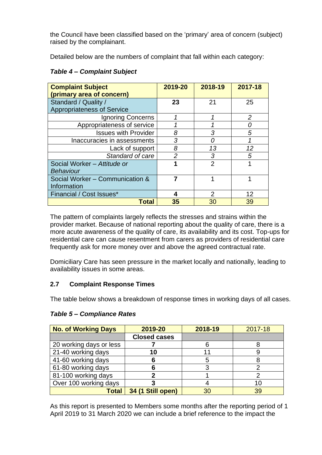the Council have been classified based on the 'primary' area of concern (subject) raised by the complainant.

Detailed below are the numbers of complaint that fall within each category:

| <b>Table 4- Complaint Subject</b> |  |  |
|-----------------------------------|--|--|
|-----------------------------------|--|--|

| <b>Complaint Subject</b><br>(primary area of concern) | 2019-20 | 2018-19        | 2017-18        |
|-------------------------------------------------------|---------|----------------|----------------|
| Standard / Quality /                                  | 23      | 21             | 25             |
| <b>Appropriateness of Service</b>                     |         |                |                |
| Ignoring Concerns                                     | 1       | 1              | $\overline{2}$ |
| Appropriateness of service                            |         |                |                |
| <b>Issues with Provider</b>                           | 8       | 3              | 5              |
| Inaccuracies in assessments                           | 3       | Ω              |                |
| Lack of support                                       | 8       | 13             | 12             |
| Standard of care                                      | 2       | 3              | 5              |
| Social Worker - Attitude or<br><b>Behaviour</b>       | 1       | $\overline{2}$ |                |
| Social Worker - Communication &<br>Information        |         |                |                |
| Financial / Cost Issues*                              | 4       | 2              | 12             |
| <b>Total</b>                                          | 35      | 30             | 39             |

The pattern of complaints largely reflects the stresses and strains within the provider market. Because of national reporting about the quality of care, there is a more acute awareness of the quality of care, its availability and its cost. Top-ups for residential care can cause resentment from carers as providers of residential care frequently ask for more money over and above the agreed contractual rate.

Domiciliary Care has seen pressure in the market locally and nationally, leading to availability issues in some areas.

# **2.7 Complaint Response Times**

The table below shows a breakdown of response times in working days of all cases.

| <b>No. of Working Days</b> | 2019-20             | 2018-19 | 2017-18 |
|----------------------------|---------------------|---------|---------|
|                            | <b>Closed cases</b> |         |         |
| 20 working days or less    |                     |         |         |
| 21-40 working days         | 10                  | 11      |         |
| 41-60 working days         | 6                   | 5       |         |
| 61-80 working days         |                     | 3       |         |
| 81-100 working days        |                     |         |         |
| Over 100 working days      |                     |         | 10      |
| <b>Total</b>               | 34 (1 Still open)   | 30      | 39      |

# *Table 5 – Compliance Rates*

As this report is presented to Members some months after the reporting period of 1 April 2019 to 31 March 2020 we can include a brief reference to the impact the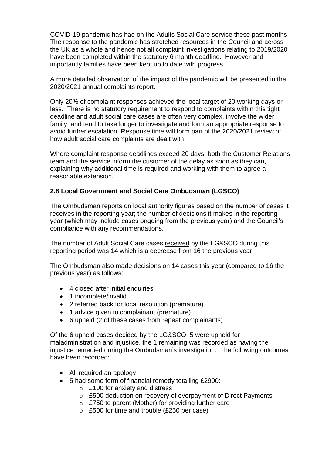COVID-19 pandemic has had on the Adults Social Care service these past months. The response to the pandemic has stretched resources in the Council and across the UK as a whole and hence not all complaint investigations relating to 2019/2020 have been completed within the statutory 6 month deadline. However and importantly families have been kept up to date with progress.

A more detailed observation of the impact of the pandemic will be presented in the 2020/2021 annual complaints report.

Only 20% of complaint responses achieved the local target of 20 working days or less. There is no statutory requirement to respond to complaints within this tight deadline and adult social care cases are often very complex, involve the wider family, and tend to take longer to investigate and form an appropriate response to avoid further escalation. Response time will form part of the 2020/2021 review of how adult social care complaints are dealt with.

Where complaint response deadlines exceed 20 days, both the Customer Relations team and the service inform the customer of the delay as soon as they can, explaining why additional time is required and working with them to agree a reasonable extension.

# **2.8 Local Government and Social Care Ombudsman (LGSCO)**

The Ombudsman reports on local authority figures based on the number of cases it receives in the reporting year; the number of decisions it makes in the reporting year (which may include cases ongoing from the previous year) and the Council's compliance with any recommendations.

The number of Adult Social Care cases received by the LG&SCO during this reporting period was 14 which is a decrease from 16 the previous year.

The Ombudsman also made decisions on 14 cases this year (compared to 16 the previous year) as follows:

- 4 closed after initial enquiries
- 1 incomplete/invalid
- 2 referred back for local resolution (premature)
- 1 advice given to complainant (premature)
- 6 upheld (2 of these cases from repeat complainants)

Of the 6 upheld cases decided by the LG&SCO, 5 were upheld for maladministration and injustice, the 1 remaining was recorded as having the injustice remedied during the Ombudsman's investigation. The following outcomes have been recorded:

- All required an apology
- 5 had some form of financial remedy totalling £2900:
	- o £100 for anxiety and distress
	- o £500 deduction on recovery of overpayment of Direct Payments
	- o £750 to parent (Mother) for providing further care
	- o £500 for time and trouble (£250 per case)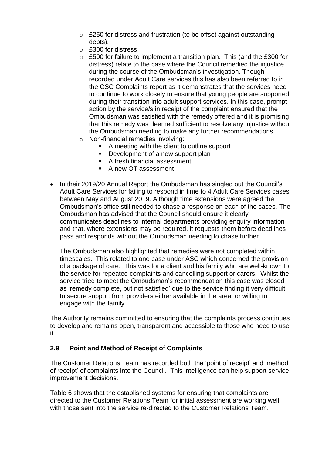- $\circ$  £250 for distress and frustration (to be offset against outstanding debts).
- o £300 for distress
- $\circ$  £500 for failure to implement a transition plan. This (and the £300 for distress) relate to the case where the Council remedied the injustice during the course of the Ombudsman's investigation. Though recorded under Adult Care services this has also been referred to in the CSC Complaints report as it demonstrates that the services need to continue to work closely to ensure that young people are supported during their transition into adult support services. In this case, prompt action by the service/s in receipt of the complaint ensured that the Ombudsman was satisfied with the remedy offered and it is promising that this remedy was deemed sufficient to resolve any injustice without the Ombudsman needing to make any further recommendations.
- o Non-financial remedies involving:
	- A meeting with the client to outline support
	- Development of a new support plan
	- A fresh financial assessment
	- A new OT assessment
- In their 2019/20 Annual Report the Ombudsman has singled out the Council's Adult Care Services for failing to respond in time to 4 Adult Care Services cases between May and August 2019. Although time extensions were agreed the Ombudsman's office still needed to chase a response on each of the cases. The Ombudsman has advised that the Council should ensure it clearly communicates deadlines to internal departments providing enquiry information and that, where extensions may be required, it requests them before deadlines pass and responds without the Ombudsman needing to chase further.

The Ombudsman also highlighted that remedies were not completed within timescales. This related to one case under ASC which concerned the provision of a package of care. This was for a client and his family who are well-known to the service for repeated complaints and cancelling support or carers. Whilst the service tried to meet the Ombudsman's recommendation this case was closed as 'remedy complete, but not satisfied' due to the service finding it very difficult to secure support from providers either available in the area, or willing to engage with the family.

The Authority remains committed to ensuring that the complaints process continues to develop and remains open, transparent and accessible to those who need to use it.

# **2.9 Point and Method of Receipt of Complaints**

The Customer Relations Team has recorded both the 'point of receipt' and 'method of receipt' of complaints into the Council. This intelligence can help support service improvement decisions.

Table 6 shows that the established systems for ensuring that complaints are directed to the Customer Relations Team for initial assessment are working well, with those sent into the service re-directed to the Customer Relations Team.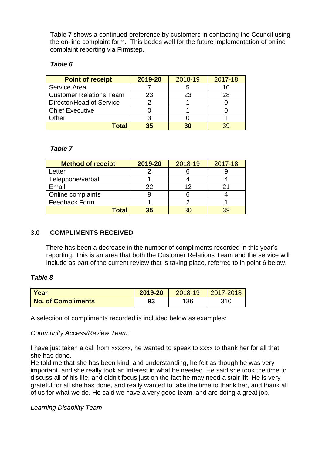Table 7 shows a continued preference by customers in contacting the Council using the on-line complaint form. This bodes well for the future implementation of online complaint reporting via Firmstep.

#### *Table 6*

| <b>Point of receipt</b>        | 2019-20 | 2018-19 | 2017-18 |
|--------------------------------|---------|---------|---------|
| Service Area                   |         |         |         |
| <b>Customer Relations Team</b> | 23      | 23      |         |
| Director/Head of Service       |         |         |         |
| <b>Chief Executive</b>         |         |         |         |
| Other                          |         |         |         |
| Total                          | 35      | 30      |         |

#### *Table 7*

| <b>Method of receipt</b> | 2019-20 | 2018-19 | 2017-18 |
|--------------------------|---------|---------|---------|
| Letter                   |         |         |         |
| Telephone/verbal         |         |         |         |
| Email                    | 22      |         |         |
| Online complaints        |         |         |         |
| Feedback Form            |         |         |         |
| Total                    | 35      |         |         |

# **3.0 COMPLIMENTS RECEIVED**

There has been a decrease in the number of compliments recorded in this year's reporting. This is an area that both the Customer Relations Team and the service will include as part of the current review that is taking place, referred to in point 6 below.

#### *Table 8*

| <b>Year</b>               | 2019-20 | 2018-19 | $\vert$ 2017-2018 |
|---------------------------|---------|---------|-------------------|
| <b>No. of Compliments</b> | 93      | 136     | 310               |

A selection of compliments recorded is included below as examples:

#### *Community Access/Review Team:*

I have just taken a call from xxxxxx, he wanted to speak to xxxx to thank her for all that she has done.

He told me that she has been kind, and understanding, he felt as though he was very important, and she really took an interest in what he needed. He said she took the time to discuss all of his life, and didn't focus just on the fact he may need a stair lift. He is very grateful for all she has done, and really wanted to take the time to thank her, and thank all of us for what we do. He said we have a very good team, and are doing a great job.

#### *Learning Disability Team*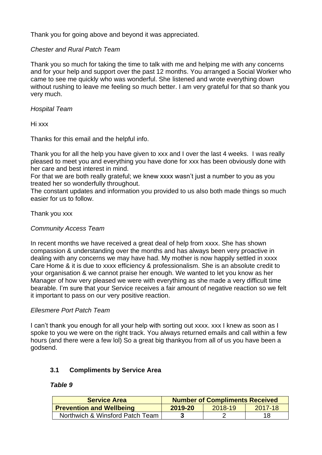Thank you for going above and beyond it was appreciated.

## *Chester and Rural Patch Team*

Thank you so much for taking the time to talk with me and helping me with any concerns and for your help and support over the past 12 months. You arranged a Social Worker who came to see me quickly who was wonderful. She listened and wrote everything down without rushing to leave me feeling so much better. I am very grateful for that so thank you very much.

#### *Hospital Team*

Hi xxx

Thanks for this email and the helpful info.

Thank you for all the help you have given to xxx and I over the last 4 weeks. I was really pleased to meet you and everything you have done for xxx has been obviously done with her care and best interest in mind.

For that we are both really grateful; we knew xxxx wasn't just a number to you as you treated her so wonderfully throughout.

The constant updates and information you provided to us also both made things so much easier for us to follow.

#### Thank you xxx

#### *Community Access Team*

In recent months we have received a great deal of help from xxxx. She has shown compassion & understanding over the months and has always been very proactive in dealing with any concerns we may have had. My mother is now happily settled in xxxx Care Home & it is due to xxxx efficiency & professionalism. She is an absolute credit to your organisation & we cannot praise her enough. We wanted to let you know as her Manager of how very pleased we were with everything as she made a very difficult time bearable. I'm sure that your Service receives a fair amount of negative reaction so we felt it important to pass on our very positive reaction.

#### *Ellesmere Port Patch Team*

I can't thank you enough for all your help with sorting out xxxx. xxx I knew as soon as I spoke to you we were on the right track. You always returned emails and call within a few hours (and there were a few lol) So a great big thankyou from all of us you have been a godsend.

#### **3.1 Compliments by Service Area**

#### *Table 9*

| <b>Service Area</b>             |                               | <b>Number of Compliments Received</b> |    |
|---------------------------------|-------------------------------|---------------------------------------|----|
| <b>Prevention and Wellbeing</b> | 2019-20<br>2017-18<br>2018-19 |                                       |    |
| Northwich & Winsford Patch Team |                               |                                       | 18 |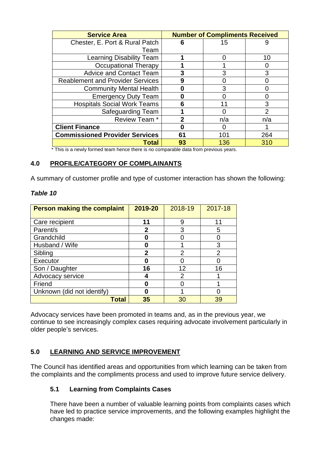| <b>Service Area</b>                     | <b>Number of Compliments Received</b> |     |                |  |
|-----------------------------------------|---------------------------------------|-----|----------------|--|
| Chester, E. Port & Rural Patch          | 6                                     | 15  | 9              |  |
| Team                                    |                                       |     |                |  |
| <b>Learning Disability Team</b>         |                                       |     | 10             |  |
| Occupational Therapy                    |                                       |     |                |  |
| <b>Advice and Contact Team</b>          |                                       | 3   | 3              |  |
| <b>Reablement and Provider Services</b> | 9                                     |     |                |  |
| <b>Community Mental Health</b>          |                                       | 3   |                |  |
| <b>Emergency Duty Team</b>              |                                       |     |                |  |
| <b>Hospitals Social Work Teams</b>      | 6                                     | 11  | 3              |  |
| <b>Safeguarding Team</b>                |                                       |     | $\overline{2}$ |  |
| Review Team*                            | 2                                     | n/a | n/a            |  |
| <b>Client Finance</b>                   |                                       | ( ) |                |  |
| <b>Commissioned Provider Services</b>   | 61                                    | 101 | 264            |  |
| Total                                   | 93                                    | 136 | 310            |  |

\* This is a newly formed team hence there is no comparable data from previous years.

## **4.0 PROFILE/CATEGORY OF COMPLAINANTS**

A summary of customer profile and type of customer interaction has shown the following:

#### *Table 10*

| <b>Person making the complaint</b> | 2019-20     | 2018-19 | 2017-18        |
|------------------------------------|-------------|---------|----------------|
| Care recipient                     | 11          | 9       | 11             |
| Parent/s                           | 2           | 3       | 5              |
| Grandchild                         |             |         |                |
| Husband / Wife                     |             |         | 3              |
| Sibling                            | $\mathbf 2$ | 2       | $\overline{2}$ |
| Executor                           |             |         |                |
| Son / Daughter                     | 16          | 12      | 16             |
| Advocacy service                   |             | 2       |                |
| Friend                             | Ω           |         |                |
| Unknown (did not identify)         | 0           |         |                |
| Total                              | 35          | 30      | 39             |

Advocacy services have been promoted in teams and, as in the previous year, we continue to see increasingly complex cases requiring advocate involvement particularly in older people's services.

# **5.0 LEARNING AND SERVICE IMPROVEMENT**

The Council has identified areas and opportunities from which learning can be taken from the complaints and the compliments process and used to improve future service delivery.

# **5.1 Learning from Complaints Cases**

There have been a number of valuable learning points from complaints cases which have led to practice service improvements, and the following examples highlight the changes made: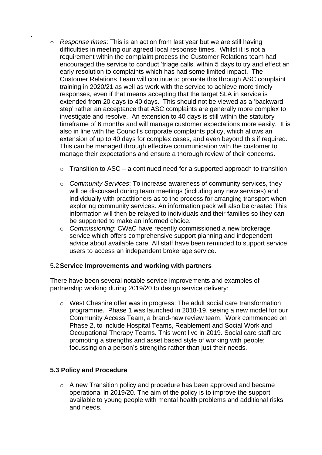- o *Response times*: This is an action from last year but we are still having difficulties in meeting our agreed local response times. Whilst it is not a requirement within the complaint process the Customer Relations team had encouraged the service to conduct 'triage calls' within 5 days to try and effect an early resolution to complaints which has had some limited impact. The Customer Relations Team will continue to promote this through ASC complaint training in 2020/21 as well as work with the service to achieve more timely responses, even if that means accepting that the target SLA in service is extended from 20 days to 40 days. This should not be viewed as a 'backward step' rather an acceptance that ASC complaints are generally more complex to investigate and resolve. An extension to 40 days is still within the statutory timeframe of 6 months and will manage customer expectations more easily. It is also in line with the Council's corporate complaints policy, which allows an extension of up to 40 days for complex cases, and even beyond this if required. This can be managed through effective communication with the customer to manage their expectations and ensure a thorough review of their concerns.
	- $\circ$  Transition to ASC a continued need for a supported approach to transition
	- o *Community Services*: To increase awareness of community services, they will be discussed during team meetings (including any new services) and individually with practitioners as to the process for arranging transport when exploring community services. An information pack will also be created This information will then be relayed to individuals and their families so they can be supported to make an informed choice.
	- o *Commissioning*: CWaC have recently commissioned a new brokerage service which offers comprehensive support planning and independent advice about available care. All staff have been reminded to support service users to access an independent brokerage service.

#### 5.2**Service Improvements and working with partners**

There have been several notable service improvements and examples of partnership working during 2019/20 to design service delivery:

o West Cheshire offer was in progress: The adult social care transformation programme. Phase 1 was launched in 2018-19, seeing a new model for our Community Access Team, a brand-new review team. Work commenced on Phase 2, to include Hospital Teams, Reablement and Social Work and Occupational Therapy Teams. This went live in 2019. Social care staff are promoting a strengths and asset based style of working with people; focussing on a person's strengths rather than just their needs.

# **5.3 Policy and Procedure**

.

o A new Transition policy and procedure has been approved and became operational in 2019/20. The aim of the policy is to improve the support available to young people with mental health problems and additional risks and needs.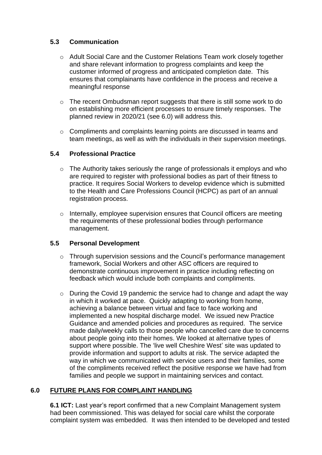# **5.3 Communication**

- o Adult Social Care and the Customer Relations Team work closely together and share relevant information to progress complaints and keep the customer informed of progress and anticipated completion date. This ensures that complainants have confidence in the process and receive a meaningful response
- o The recent Ombudsman report suggests that there is still some work to do on establishing more efficient processes to ensure timely responses. The planned review in 2020/21 (see 6.0) will address this.
- $\circ$  Compliments and complaints learning points are discussed in teams and team meetings, as well as with the individuals in their supervision meetings.

# **5.4 Professional Practice**

- o The Authority takes seriously the range of professionals it employs and who are required to register with professional bodies as part of their fitness to practice. It requires Social Workers to develop evidence which is submitted to the Health and Care Professions Council (HCPC) as part of an annual registration process.
- o Internally, employee supervision ensures that Council officers are meeting the requirements of these professional bodies through performance management.

# **5.5 Personal Development**

- $\circ$  Through supervision sessions and the Council's performance management framework, Social Workers and other ASC officers are required to demonstrate continuous improvement in practice including reflecting on feedback which would include both complaints and compliments.
- o During the Covid 19 pandemic the service had to change and adapt the way in which it worked at pace. Quickly adapting to working from home, achieving a balance between virtual and face to face working and implemented a new hospital discharge model. We issued new Practice Guidance and amended policies and procedures as required. The service made daily/weekly calls to those people who cancelled care due to concerns about people going into their homes. We looked at alternative types of support where possible. The 'live well Cheshire West' site was updated to provide information and support to adults at risk. The service adapted the way in which we communicated with service users and their families, some of the compliments received reflect the positive response we have had from families and people we support in maintaining services and contact.

# **6.0 FUTURE PLANS FOR COMPLAINT HANDLING**

**6.1 ICT:** Last year's report confirmed that a new Complaint Management system had been commissioned. This was delayed for social care whilst the corporate complaint system was embedded. It was then intended to be developed and tested